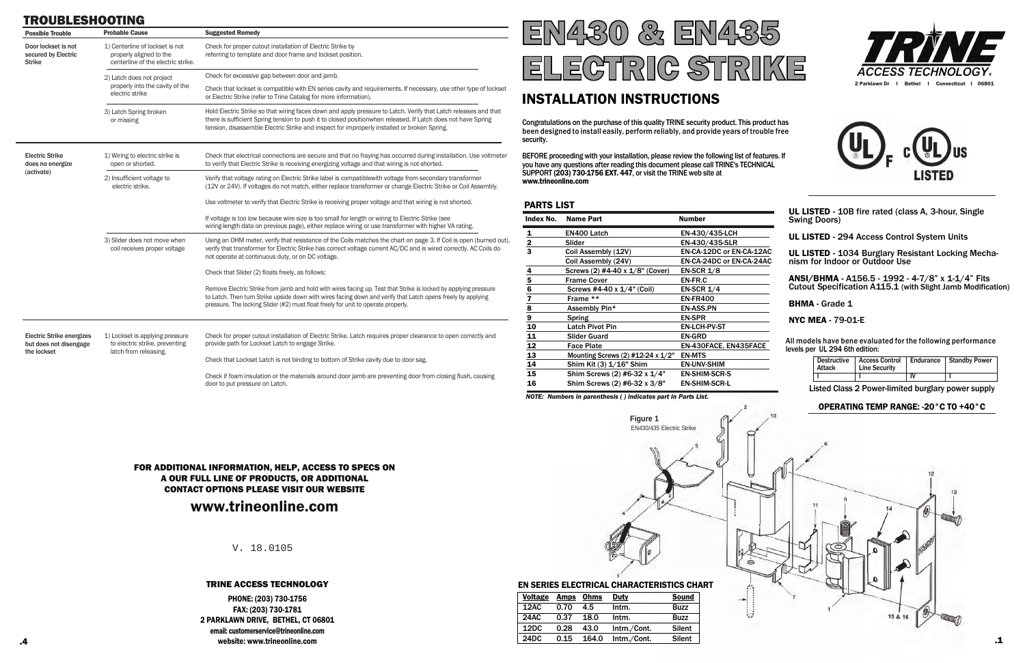| <b>Possible Trouble</b>                                                   | <b>Probable Cause</b>                                                                            | <b>Suggested Remedy</b>                                                                                                                                                                                                                                                                                                        |  |
|---------------------------------------------------------------------------|--------------------------------------------------------------------------------------------------|--------------------------------------------------------------------------------------------------------------------------------------------------------------------------------------------------------------------------------------------------------------------------------------------------------------------------------|--|
| Door lockset is not<br>secured by Electric<br><b>Strike</b>               | 1) Centerline of lockset is not<br>properly aligned to the<br>centerline of the electric strike. | Check for proper cutout installation of Electric Strike by<br>referring to template and door frame and lockset position.                                                                                                                                                                                                       |  |
|                                                                           | 2) Latch does not project                                                                        | Check for excessive gap between door and jamb.                                                                                                                                                                                                                                                                                 |  |
|                                                                           | properly into the cavity of the<br>electric strike                                               | Check that lockset is compatible with EN series cavity and requirements. If necessary, use other type of lockset<br>or Electric Strike (refer to Trine Catalog for more information).                                                                                                                                          |  |
|                                                                           | 3) Latch Spring broken<br>or missing                                                             | Hold Electric Strike so that wiring faces down and apply pressure to Latch. Verify that Latch releases and that<br>there is sufficient Spring tension to push it to closed positionwhen released. If Latch does not have Spring<br>tension, disassemble Electric Strike and inspect for improperly installed or broken Spring. |  |
| <b>Electric Strike</b><br>does no energize                                | 1) Wiring to electric strike is<br>open or shorted.                                              | Check that electrical connections are secure and that no fraying has occurred during installation. Use voltmeter<br>to verify that Electric Strike is receiving energizing voltage and that wiring is not shorted.                                                                                                             |  |
| (activate)                                                                | 2) Insufficient voltage to<br>electric strike.                                                   | Verify that voltage rating on Electric Strike label is compatiblewith voltage from secondary transformer<br>(12V or 24V). If voltages do not match, either replace transformer or change Electric Strike or Coil Assembly.                                                                                                     |  |
|                                                                           |                                                                                                  | Use voltmeter to verify that Electric Strike is receiving proper voltage and that wiring is not shorted.                                                                                                                                                                                                                       |  |
|                                                                           |                                                                                                  | If voltage is too low because wire size is too small for length or wiring to Electric Strike (see<br>wiring-length data on previous page), either replace wiring or use transformer with higher VA rating.                                                                                                                     |  |
|                                                                           | 3) Slider does not move when<br>coil receives proper voltage                                     | Using an OHM meter, verify that resistance of the Coils matches the chart on page 3. If Coil is open (burned out),<br>verify that transformer for Electric Strike has correct voltage current AC/DC and is wired correctly. AC Coils do<br>not operate at continuous duty, or on DC voltage.                                   |  |
|                                                                           |                                                                                                  | Check that Slider (2) floats freely, as follows:                                                                                                                                                                                                                                                                               |  |
|                                                                           |                                                                                                  | Remove Electric Strike from jamb and hold with wires facing up. Test that Strike is locked by applying pressure<br>to Latch. Then turn Strike upside down with wires facing down and verify that Latch opens freely by applying<br>pressure. The locking Slider (#2) must float freely for unit to operate properly.           |  |
| <b>Electric Strike energizes</b><br>but does not disengage<br>the lockset | 1) Lockset is applying pressure<br>to electric strike, preventing<br>latch from releasing.       | Check for proper cutout installation of Electric Strike. Latch requires proper clearance to open correctly and<br>provide path for Lockset Latch to engage Strike.                                                                                                                                                             |  |
|                                                                           |                                                                                                  | Check that Lockset Latch is not binding to bottom of Strike cavity due to door sag.                                                                                                                                                                                                                                            |  |
|                                                                           |                                                                                                  | Check if foam insulation or the materials around door jamb are preventing door from closing flush, causing                                                                                                                                                                                                                     |  |

# TROUBLESHOOTING

door to put pressure on Latch.

## TRINE ACCESS TECHNOLOGY

FOR ADDITIONAL INFORMATION, HELP, ACCESS TO SPECS ON A OUR FULL LINE OF PRODUCTS, OR ADDITIONAL CONTACT OPTIONS PLEASE VISIT OUR WEBSITE

# www.trineonline.com

V. 18.0105

PHONE: (203) 730-1756 FAX: (203) 730-1781 2 PARKLAWN DRIVE, BETHEL, CT 06801 email: customerservice@trineonline.com website: www.trineonline.com

| <b>Voltage</b>    | Amps | Ohms  | Duty        | <b>Sound</b>  |
|-------------------|------|-------|-------------|---------------|
| 12AC              | 0.70 | 4.5   | Intm.       | <b>Buzz</b>   |
| <b>24AC</b>       | 0.37 | 18.0  | Intm.       | <b>Buzz</b>   |
| 12DC              | 0.28 | 43.0  | Intm./Cont. | <b>Silent</b> |
| 24 <sub>D</sub> C | 0.15 | 164.0 | Intm./Cont. | <b>Silent</b> |

## EN SERIES ELECTRICAL CHARACTERISTICS CHART



# INSTALLATION INSTRUCTIONS

| Index No.<br><b>Name Part</b> |                                            | <b>Number</b>            | UL LISTED - 10B fire rated (class A, 3-hour, Single<br><b>Swing Doors)</b>                                                |  |  |
|-------------------------------|--------------------------------------------|--------------------------|---------------------------------------------------------------------------------------------------------------------------|--|--|
| <u>1</u>                      | EN400 Latch                                | EN-430/435-LCH           | UL LISTED - 294 Access Control System Units                                                                               |  |  |
| $\overline{2}$                | Slider                                     | EN-430/435-SLR           |                                                                                                                           |  |  |
| 3                             | Coil Assembly (12V)                        | EN-CA-12DC or EN-CA-12AC | UL LISTED - 1034 Burglary Resistant Locking Mecha-                                                                        |  |  |
|                               | Coil Assembly (24V)                        | EN-CA-24DC or EN-CA-24AC | nism for Indoor or Outdoor Use                                                                                            |  |  |
| 4                             | Screws (2) #4-40 x 1/8" (Cover)            | EN-SCR $1/8$             |                                                                                                                           |  |  |
| 5                             | <b>Frame Cover</b>                         | EN-FR.C                  | ANSI/BHMA - A156.5 - 1992 - 4-7/8" x 1-1/4" Fits                                                                          |  |  |
| 6                             | Screws #4-40 x 1/4" (Coil)<br>EN-SCR $1/4$ |                          | Cutout Specification A115.1 (with Slight Jamb Modification)                                                               |  |  |
| 7                             | Frame **                                   | <b>EN-FR400</b>          |                                                                                                                           |  |  |
| 8                             | Assembly Pin*                              | <b>EN-ASS.PN</b>         | <b>BHMA - Grade 1</b>                                                                                                     |  |  |
| 9                             | <b>Spring</b>                              | <b>EN-SPR</b>            | <b>NYC MEA - 79-01-E</b>                                                                                                  |  |  |
| 10                            | <b>Latch Pivot Pin</b>                     | EN-LCH-PV-ST             |                                                                                                                           |  |  |
| 11                            | <b>Slider Guard</b>                        | <b>EN-GRD</b>            |                                                                                                                           |  |  |
| 12                            | <b>Face Plate</b>                          | EN-430FACE, EN435FACE    | All models have bene evaluated for the following performance<br>levels per UL 294 6th edition:                            |  |  |
| 13                            | Mounting Screws (2) $\#12-24 \times 1/2"$  | <b>EN-MTS</b>            |                                                                                                                           |  |  |
| 14                            | Shim Kit (3) 1/16" Shim                    | <b>EN-UNV-SHIM</b>       | <b>Access Control</b><br><b>Standby Power</b><br><b>Destructive</b><br>Endurance<br><b>Attack</b><br><b>Line Security</b> |  |  |
| 15                            | Shim Screws (2) #6-32 x 1/4"               | <b>EN-SHIM-SCR-S</b>     | $\overline{N}$                                                                                                            |  |  |
| 16                            | Shim Screws (2) #6-32 x 3/8"               | <b>EN-SHIM-SCR-L</b>     | Listed Class 2 Power-limited burglary power supply                                                                        |  |  |
|                               | Figure 1<br>EN430/435 Electric Strike      |                          | OPERATING TEMP RANGE: -20°C TO +40°C                                                                                      |  |  |
|                               |                                            |                          | 13<br>11<br>$\circledast$                                                                                                 |  |  |

 $\mathbf{r}$ 



Congratulations on the purchase of this quality TRINE security product. This product has been designed to install easily, perform reliably, and provide years of trouble free security.

BEFORE proceeding with your installation, please review the following list of features. If you have any questions after reading this document please call TRINE's TECHNICAL SUPPORT (203) 730-1756 EXT. 447, or visit the TRINE web site at www.trineonline.com

## **DADTS LIST**

 $\circled{0}$ 

**REAL** 

15 & 16